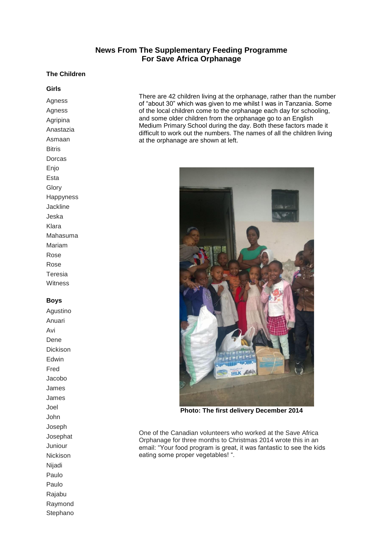# **News From The Supplementary Feeding Programme For Save Africa Orphanage**

### **The Children**

#### **Girls**

Agness Agness Agripina Anastazia Asmaan **Bitris** Dorcas **Enio** Esta **Glory** Happyness Jackline Jeska Klara Mahasuma Mariam Rose Rose Teresia **Witness** 

#### **Boys**

Agustino Anuari Avi Dene Dickison Edwin Fred Jacobo James James Joel John Joseph Josephat Juniour Nickison Nijadi Paulo Paulo Rajabu Raymond **Stephano**  There are 42 children living at the orphanage, rather than the number of "about 30" which was given to me whilst I was in Tanzania. Some of the local children come to the orphanage each day for schooling, and some older children from the orphanage go to an English Medium Primary School during the day. Both these factors made it difficult to work out the numbers. The names of all the children living at the orphanage are shown at left.



**Photo: The first delivery December 2014**

One of the Canadian volunteers who worked at the Save Africa Orphanage for three months to Christmas 2014 wrote this in an email: "Your food program is great, it was fantastic to see the kids eating some proper vegetables! ".